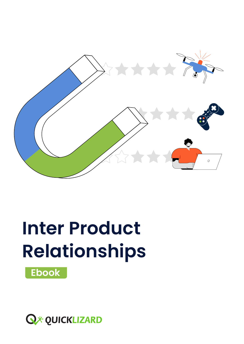

# **Inter Product Relationships**



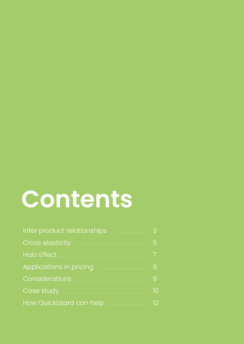# **Contents**

| Inter product relationships    | 3  |
|--------------------------------|----|
| <b>Cross elasticity</b>        | 5  |
| <b>Halo Effect</b>             |    |
| <b>Applications in pricing</b> | 8  |
| Considerations                 | 9  |
| Case study                     | 10 |
| How QuickLizard can help       | 12 |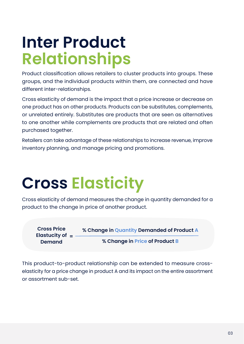## **Inter Product Relationships**

Product classification allows retailers to cluster products into groups. These groups, and the individual products within them, are connected and have different inter-relationships.

Cross elasticity of demand is the impact that a price increase or decrease on one product has on other products. Products can be substitutes, complements, or unrelated entirely. Substitutes are products that are seen as alternatives to one another while complements are products that are related and often purchased together.

Retailers can take advantage of these relationships to increase revenue, improve inventory planning, and manage pricing and promotions.

# **Elasticity Cross**

Cross elasticity of demand measures the change in quantity demanded for a product to the change in price of another product.

| <b>Cross Price</b><br>Elastucity of $=$<br><b>Demand</b> | % Change in Quantity Demanded of Product A |
|----------------------------------------------------------|--------------------------------------------|
|                                                          | % Change in Price of Product B             |

elasticity for a price change in product A and its impact on the entire assortment This product-to-product relationship can be extended to measure crossor assortment sub-set.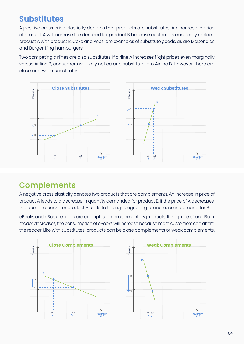#### **Substitutes**

A positive cross price elasticity denotes that products are substitutes. An increase in price of product A will increase the demand for product B because customers can easily replace product A with product B. Coke and Pepsi are examples of substitute goods, as are McDonalds and Burger King hamburgers.

Two competing airlines are also substitutes. If airline A increases flight prices even marginally versus Airline B, consumers will likely notice and substitute into Airline B. However, there are close and weak substitutes.



#### **Complements**

A negative cross elasticity denotes two products that are complements. An increase in price of product A leads to a decrease in quantity demanded for product B. If the price of A decreases, the demand curve for product B shifts to the right, signalling an increase in demand for B.

eBooks and eBook readers are examples of complementary products. If the price of an eBook reader decreases, the consumption of eBooks will increase because more customers can afford the reader. Like with substitutes, products can be close complements or weak complements.



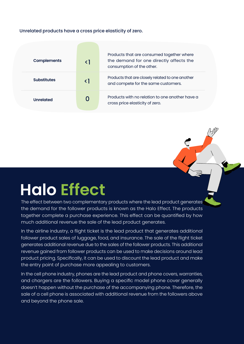#### Unrelated products have a cross price elasticity of zero.

| <b>Complements</b> | Products that are consumed together where<br>the demand for one directly affects the<br>consumption of the other. |
|--------------------|-------------------------------------------------------------------------------------------------------------------|
| <b>Substitutes</b> | Products that are closely related to one another<br>and compete for the same customers.                           |
| <b>Unrelated</b>   | Products with no relation to one another have a<br>cross price elasticity of zero.                                |

### **Halo** Effect

The effect between two complementary products where the lead product generates the demand for the follower products is known as the Halo Effect. The products together complete a purchase experience. This effect can be quantified by how much additional revenue the sale of the lead product generates.

In the airline industry, a flight ticket is the lead product that generates additional follower product sales of luggage, food, and insurance. The sale of the flight ticket generates additional revenue due to the sales of the follower products. This additional revenue gained from follower products can be used to make decisions around lead product pricing. Specifically, it can be used to discount the lead product and make the entry point of purchase more appealing to customers.

In the cell phone industry, phones are the lead product and phone covers, warranties, and chargers are the followers. Buying a specific model phone cover generally doesn't happen without the purchase of the accompanying phone. Therefore, the sale of a cell phone is associated with additional revenue from the followers above and beyond the phone sale.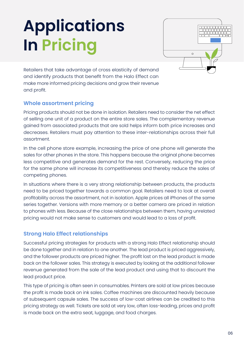# **Applications In Pricing**



Retailers that take advantage of cross elasticity of demand and identify products that benefit from the Halo Effect can make more informed pricing decisions and grow their revenue and profit.

#### **Whole assortment pricing**

Pricing products should not be done in isolation. Retailers need to consider the net effect of selling one unit of a product on the entire store sales. The complementary revenue gained from associated products that are sold helps inform both price increases and decreases. Retailers must pay attention to these inter-relationships across their full assortment.

In the cell phone store example, increasing the price of one phone will generate the sales for other phones in the store. This happens because the original phone becomes less competitive and generates demand for the rest. Conversely, reducing the price for the same phone will increase its competitiveness and thereby reduce the sales of competing phones.

In situations where there is a very strong relationship between products, the products need to be priced together towards a common goal. Retailers need to look at overall profitability across the assortment, not in isolation. Apple prices all iPhones of the same series together. Versions with more memory or a better camera are priced in relation to phones with less. Because of the close relationships between them, having unrelated pricing would not make sense to customers and would lead to a loss of profit.

#### **Strong Halo Effect relationships**

Successful pricing strategies for products with a strong Halo Effect relationship should be done together and in relation to one another. The lead product is priced aggressively, and the follower products are priced higher. The profit lost on the lead product is made back on the follower sales. This strategy is executed by looking at the additional follower revenue generated from the sale of the lead product and using that to discount the lead product price.

This type of pricing is often seen in consumables. Printers are sold at low prices because the profit is made back on ink sales. Coffee machines are discounted heavily because of subsequent capsule sales. The success of low-cost airlines can be credited to this pricing strategy as well. Tickets are sold at very low, often loss-leading, prices and profit is made back on the extra seat, luggage, and food charges.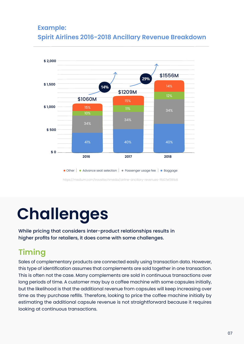#### **Example: Spirit Airlines 2016-2018 Ancillary Revenue Breakdown**



https://medium.com/traveltechmedia/airline-ancillary-revenues-1fb07ef381b8

# **Challenges**

While pricing that considers inter-product relationships results in higher profits for retailers, it does come with some challenges.

#### **Timing**

Sales of complementary products are connected easily using transaction data. However, this type of identification assumes that complements are sold together in one transaction. This is often not the case. Many complements are sold in continuous transactions over long periods of time. A customer may buy a coffee machine with some capsules initially, but the likelihood is that the additional revenue from capsules will keep increasing over time as they purchase refills. Therefore, looking to price the coffee machine initially by estimating the additional capsule revenue is not straightforward because it requires looking at continuous transactions.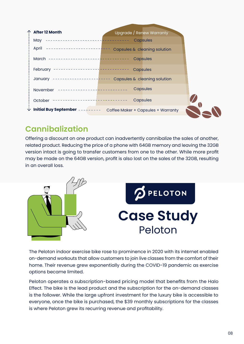| <b>After 12 Month</b>                                | Upgrade / Renew Warranty           |  |
|------------------------------------------------------|------------------------------------|--|
| May                                                  | <b>Capsules</b>                    |  |
| April                                                | Capsules & cleaning solution       |  |
| March --------------------- <mark>-----------</mark> | Capsules                           |  |
| February                                             | Capsules                           |  |
| January<br>----------------- <mark>-----</mark> -    | Capsules & cleaning solution       |  |
| November                                             | Capsules                           |  |
| October                                              | Capsules                           |  |
| <b>Initial Buy September -</b><br>୰                  | Coffee Maker + Capsules + Warranty |  |

#### **Cannibalization**

Offering a discount on one product can inadvertently cannibalize the sales of another, related product. Reducing the price of a phone with 64GB memory and leaving the 32GB version intact is going to transfer customers from one to the other. While more profit may be made on the 64GB version, profit is also lost on the sales of the 32GB, resulting in an overall loss



The Peloton indoor exercise bike rose to prominence in 2020 with its internet enabled on-demand workouts that allow customers to join live classes from the comfort of their home. Their revenue grew exponentially during the COVID-19 pandemic as exercise options became limited.

Peloton operates a subscription-based pricing model that benefits from the Halo Effect. The bike is the lead product and the subscription for the on-demand classes is the follower. While the large upfront investment for the luxury bike is accessible to everyone, once the bike is purchased, the \$39 monthly subscriptions for the classes is where Peloton grew its recurring revenue and profitability.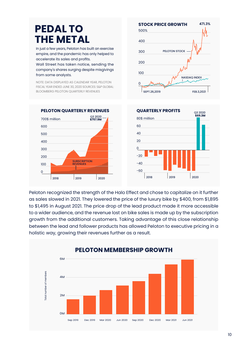### **PEDAL TO THE METAL**

In just a few years, Peloton has built an exercise empire, and the pandemic has only helped to accelerate its sales and profits.

Wall Street has taken notice, sending the company's shares surging despite misgivings from some analysts.

NOTE: DATA DISPLAYED AS CALENDAR YEAR, PELOTON FISCAL YEAR ENDED JUNE 30, 2020 SOURCES: S&P GLOBAL: BLOOMBERG PELOTON QUARTERLY REVENUES





Peloton recognized the strength of the Halo Effect and chose to capitalize on it further as sales slowed in 2021. They lowered the price of the luxury bike by \$400, from \$1,895 to \$1,495 in August 2021. The price drop of the lead product made it more accessible to a wider audience, and the revenue lost on bike sales is made up by the subscription growth from the additional customers. Taking advantage of this close relationship between the lead and follower products has allowed Peloton to executive pricing in a holistic way, growing their revenues further as a result.